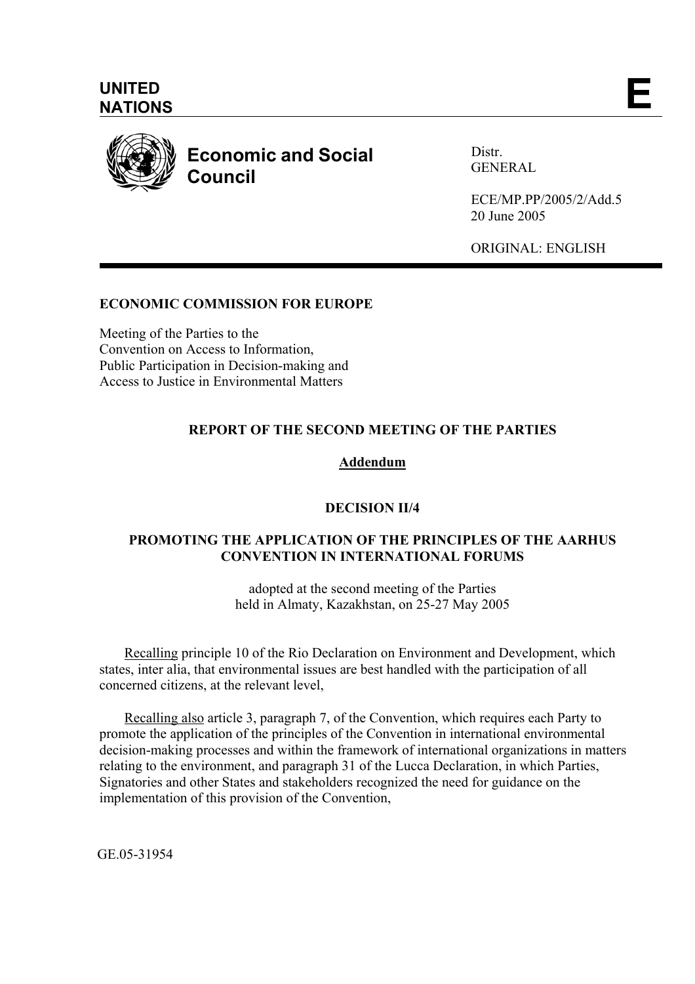

# **Economic and Social Council**

Distr. **GENERAL** 

ECE/MP.PP/2005/2/Add.5 20 June 2005

ORIGINAL: ENGLISH

# **ECONOMIC COMMISSION FOR EUROPE**

Meeting of the Parties to the Convention on Access to Information, Public Participation in Decision-making and Access to Justice in Environmental Matters

# **REPORT OF THE SECOND MEETING OF THE PARTIES**

# **Addendum**

#### **DECISION II/4**

#### **PROMOTING THE APPLICATION OF THE PRINCIPLES OF THE AARHUS CONVENTION IN INTERNATIONAL FORUMS**

adopted at the second meeting of the Parties held in Almaty, Kazakhstan, on 25-27 May 2005

Recalling principle 10 of the Rio Declaration on Environment and Development, which states, inter alia, that environmental issues are best handled with the participation of all concerned citizens, at the relevant level,

Recalling also article 3, paragraph 7, of the Convention, which requires each Party to promote the application of the principles of the Convention in international environmental decision-making processes and within the framework of international organizations in matters relating to the environment, and paragraph 31 of the Lucca Declaration, in which Parties, Signatories and other States and stakeholders recognized the need for guidance on the implementation of this provision of the Convention,

GE.05-31954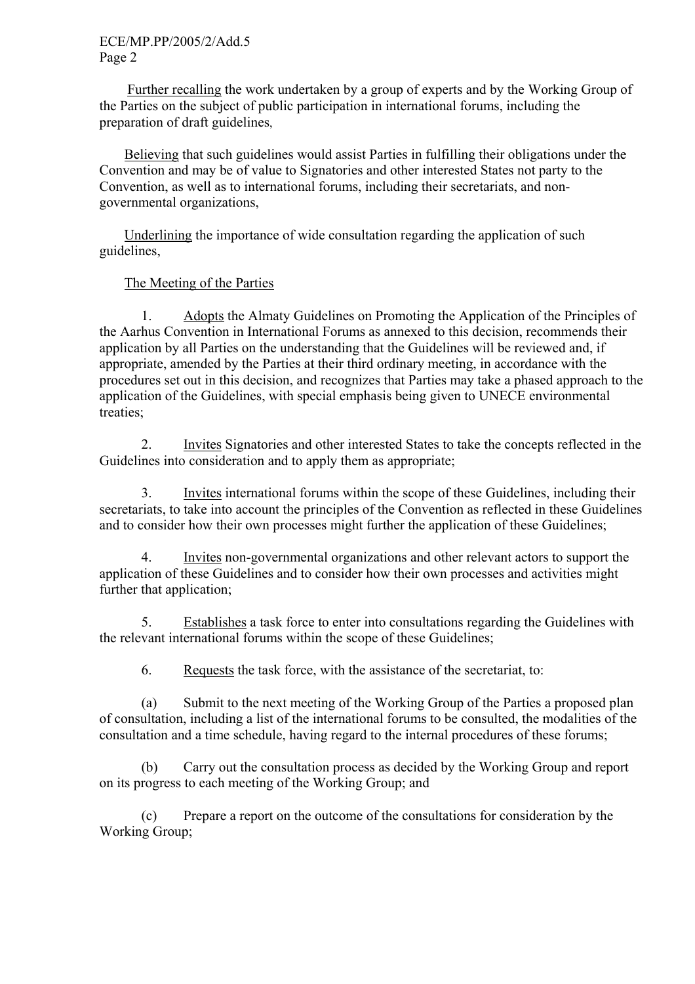Further recalling the work undertaken by a group of experts and by the Working Group of the Parties on the subject of public participation in international forums, including the preparation of draft guidelines,

Believing that such guidelines would assist Parties in fulfilling their obligations under the Convention and may be of value to Signatories and other interested States not party to the Convention, as well as to international forums, including their secretariats, and nongovernmental organizations,

 Underlining the importance of wide consultation regarding the application of such guidelines,

### The Meeting of the Parties

 1. Adopts the Almaty Guidelines on Promoting the Application of the Principles of the Aarhus Convention in International Forums as annexed to this decision, recommends their application by all Parties on the understanding that the Guidelines will be reviewed and, if appropriate, amended by the Parties at their third ordinary meeting, in accordance with the procedures set out in this decision, and recognizes that Parties may take a phased approach to the application of the Guidelines, with special emphasis being given to UNECE environmental treaties;

 2. Invites Signatories and other interested States to take the concepts reflected in the Guidelines into consideration and to apply them as appropriate;

 3. Invites international forums within the scope of these Guidelines, including their secretariats, to take into account the principles of the Convention as reflected in these Guidelines and to consider how their own processes might further the application of these Guidelines;

 4. Invites non-governmental organizations and other relevant actors to support the application of these Guidelines and to consider how their own processes and activities might further that application;

 5. Establishes a task force to enter into consultations regarding the Guidelines with the relevant international forums within the scope of these Guidelines;

6. Requests the task force, with the assistance of the secretariat, to:

(a) Submit to the next meeting of the Working Group of the Parties a proposed plan of consultation, including a list of the international forums to be consulted, the modalities of the consultation and a time schedule, having regard to the internal procedures of these forums;

(b) Carry out the consultation process as decided by the Working Group and report on its progress to each meeting of the Working Group; and

(c) Prepare a report on the outcome of the consultations for consideration by the Working Group;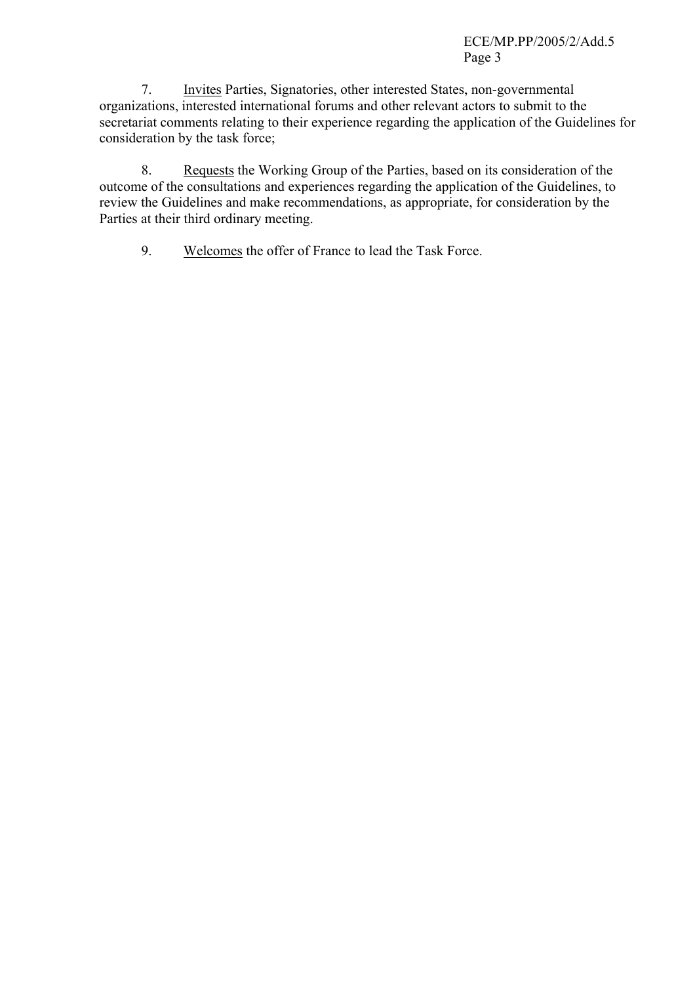7. Invites Parties, Signatories, other interested States, non-governmental organizations, interested international forums and other relevant actors to submit to the secretariat comments relating to their experience regarding the application of the Guidelines for consideration by the task force;

8. Requests the Working Group of the Parties, based on its consideration of the outcome of the consultations and experiences regarding the application of the Guidelines, to review the Guidelines and make recommendations, as appropriate, for consideration by the Parties at their third ordinary meeting.

9. Welcomes the offer of France to lead the Task Force.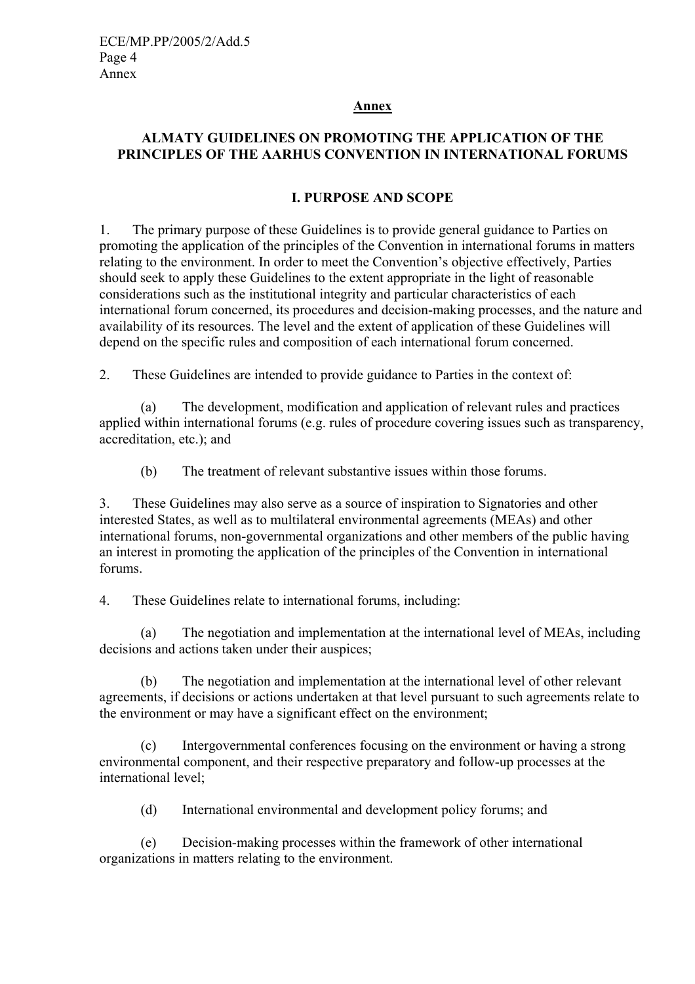#### **Annex**

### **ALMATY GUIDELINES ON PROMOTING THE APPLICATION OF THE PRINCIPLES OF THE AARHUS CONVENTION IN INTERNATIONAL FORUMS**

#### **I. PURPOSE AND SCOPE**

1. The primary purpose of these Guidelines is to provide general guidance to Parties on promoting the application of the principles of the Convention in international forums in matters relating to the environment. In order to meet the Convention's objective effectively, Parties should seek to apply these Guidelines to the extent appropriate in the light of reasonable considerations such as the institutional integrity and particular characteristics of each international forum concerned, its procedures and decision-making processes, and the nature and availability of its resources. The level and the extent of application of these Guidelines will depend on the specific rules and composition of each international forum concerned.

2. These Guidelines are intended to provide guidance to Parties in the context of:

(a) The development, modification and application of relevant rules and practices applied within international forums (e.g. rules of procedure covering issues such as transparency, accreditation, etc.); and

(b) The treatment of relevant substantive issues within those forums.

3. These Guidelines may also serve as a source of inspiration to Signatories and other interested States, as well as to multilateral environmental agreements (MEAs) and other international forums, non-governmental organizations and other members of the public having an interest in promoting the application of the principles of the Convention in international forums.

4. These Guidelines relate to international forums, including:

(a) The negotiation and implementation at the international level of MEAs, including decisions and actions taken under their auspices;

(b) The negotiation and implementation at the international level of other relevant agreements, if decisions or actions undertaken at that level pursuant to such agreements relate to the environment or may have a significant effect on the environment;

(c) Intergovernmental conferences focusing on the environment or having a strong environmental component, and their respective preparatory and follow-up processes at the international level;

(d) International environmental and development policy forums; and

(e) Decision-making processes within the framework of other international organizations in matters relating to the environment.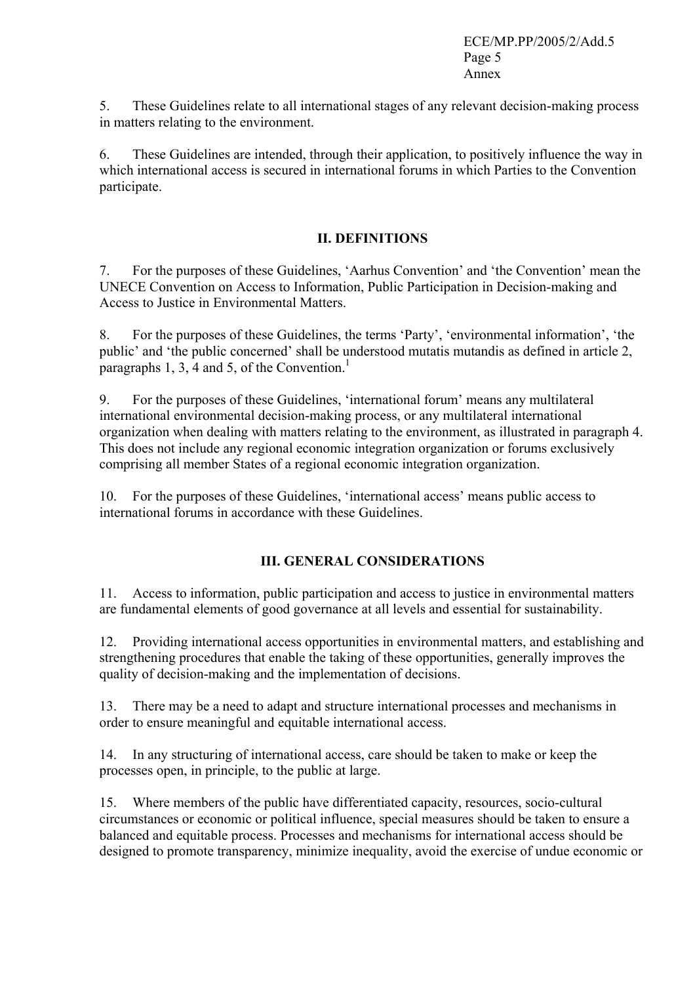ECE/MP.PP/2005/2/Add.5 Page 5 Annex

5. These Guidelines relate to all international stages of any relevant decision-making process in matters relating to the environment.

6. These Guidelines are intended, through their application, to positively influence the way in which international access is secured in international forums in which Parties to the Convention participate.

#### **II. DEFINITIONS**

7. For the purposes of these Guidelines, 'Aarhus Convention' and 'the Convention' mean the UNECE Convention on Access to Information, Public Participation in Decision-making and Access to Justice in Environmental Matters.

8. For the purposes of these Guidelines, the terms 'Party', 'environmental information', 'the public' and 'the public concerned' shall be understood mutatis mutandis as defined in article 2, paragraphs 1, 3, 4 and 5, of the Convention.<sup>1</sup>

9. For the purposes of these Guidelines, 'international forum' means any multilateral international environmental decision-making process, or any multilateral international organization when dealing with matters relating to the environment, as illustrated in paragraph 4. This does not include any regional economic integration organization or forums exclusively comprising all member States of a regional economic integration organization.

10. For the purposes of these Guidelines, 'international access' means public access to international forums in accordance with these Guidelines.

#### **III. GENERAL CONSIDERATIONS**

11. Access to information, public participation and access to justice in environmental matters are fundamental elements of good governance at all levels and essential for sustainability.

12. Providing international access opportunities in environmental matters, and establishing and strengthening procedures that enable the taking of these opportunities, generally improves the quality of decision-making and the implementation of decisions.

13. There may be a need to adapt and structure international processes and mechanisms in order to ensure meaningful and equitable international access.

14. In any structuring of international access, care should be taken to make or keep the processes open, in principle, to the public at large.

15. Where members of the public have differentiated capacity, resources, socio-cultural circumstances or economic or political influence, special measures should be taken to ensure a balanced and equitable process. Processes and mechanisms for international access should be designed to promote transparency, minimize inequality, avoid the exercise of undue economic or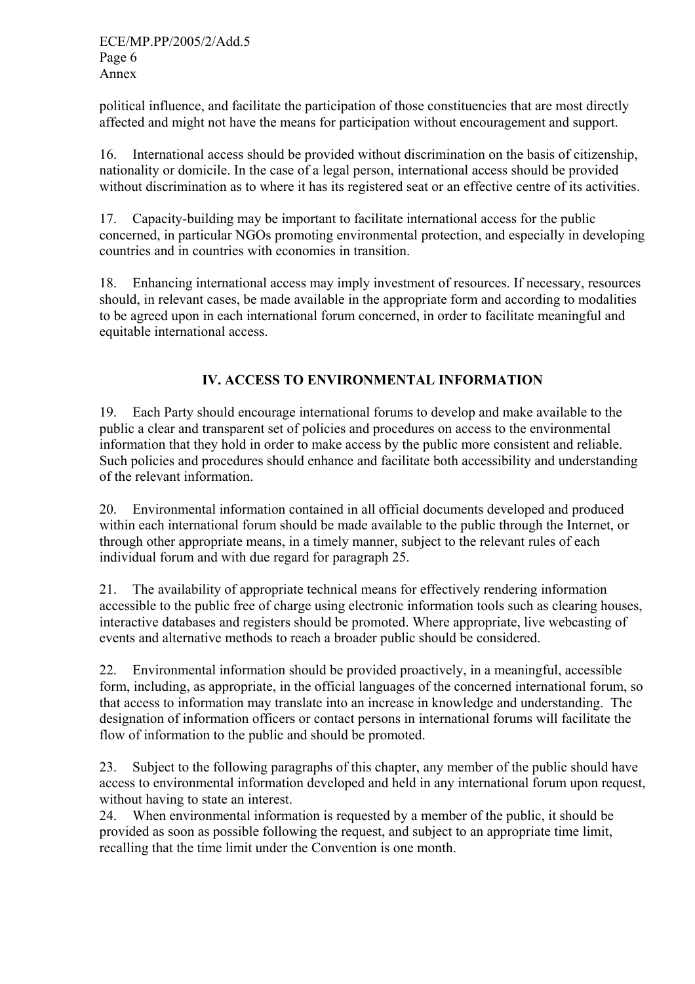political influence, and facilitate the participation of those constituencies that are most directly affected and might not have the means for participation without encouragement and support.

16. International access should be provided without discrimination on the basis of citizenship, nationality or domicile. In the case of a legal person, international access should be provided without discrimination as to where it has its registered seat or an effective centre of its activities.

17. Capacity-building may be important to facilitate international access for the public concerned, in particular NGOs promoting environmental protection, and especially in developing countries and in countries with economies in transition.

18. Enhancing international access may imply investment of resources. If necessary, resources should, in relevant cases, be made available in the appropriate form and according to modalities to be agreed upon in each international forum concerned, in order to facilitate meaningful and equitable international access.

# **IV. ACCESS TO ENVIRONMENTAL INFORMATION**

19. Each Party should encourage international forums to develop and make available to the public a clear and transparent set of policies and procedures on access to the environmental information that they hold in order to make access by the public more consistent and reliable. Such policies and procedures should enhance and facilitate both accessibility and understanding of the relevant information.

20. Environmental information contained in all official documents developed and produced within each international forum should be made available to the public through the Internet, or through other appropriate means, in a timely manner, subject to the relevant rules of each individual forum and with due regard for paragraph 25.

21. The availability of appropriate technical means for effectively rendering information accessible to the public free of charge using electronic information tools such as clearing houses, interactive databases and registers should be promoted. Where appropriate, live webcasting of events and alternative methods to reach a broader public should be considered.

22. Environmental information should be provided proactively, in a meaningful, accessible form, including, as appropriate, in the official languages of the concerned international forum, so that access to information may translate into an increase in knowledge and understanding. The designation of information officers or contact persons in international forums will facilitate the flow of information to the public and should be promoted.

23. Subject to the following paragraphs of this chapter, any member of the public should have access to environmental information developed and held in any international forum upon request, without having to state an interest.

24. When environmental information is requested by a member of the public, it should be provided as soon as possible following the request, and subject to an appropriate time limit, recalling that the time limit under the Convention is one month.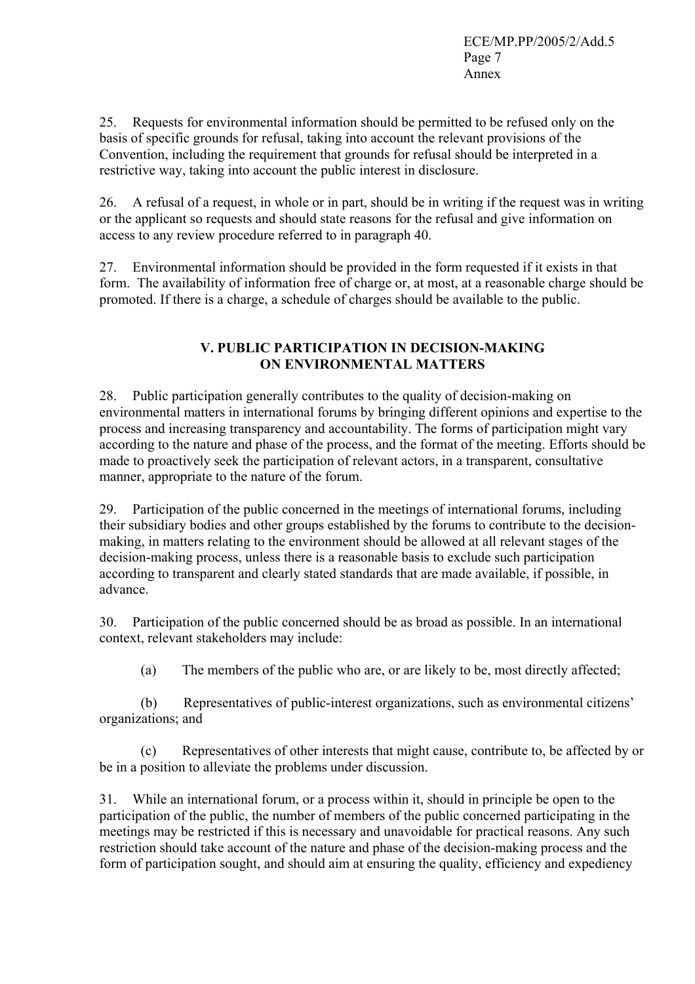25. Requests for environmental information should be permitted to be refused only on the basis of specific grounds for refusal, taking into account the relevant provisions of the Convention, including the requirement that grounds for refusal should be interpreted in a restrictive way, taking into account the public interest in disclosure.

26. A refusal of a request, in whole or in part, should be in writing if the request was in writing or the applicant so requests and should state reasons for the refusal and give information on access to any review procedure referred to in paragraph 40.

27. Environmental information should be provided in the form requested if it exists in that form. The availability of information free of charge or, at most, at a reasonable charge should be promoted. If there is a charge, a schedule of charges should be available to the public.

#### **V. PUBLIC PARTICIPATION IN DECISION-MAKING ON ENVIRONMENTAL MATTERS**

28. Public participation generally contributes to the quality of decision-making on environmental matters in international forums by bringing different opinions and expertise to the process and increasing transparency and accountability. The forms of participation might vary according to the nature and phase of the process, and the format of the meeting. Efforts should be made to proactively seek the participation of relevant actors, in a transparent, consultative manner, appropriate to the nature of the forum.

29. Participation of the public concerned in the meetings of international forums, including their subsidiary bodies and other groups established by the forums to contribute to the decisionmaking, in matters relating to the environment should be allowed at all relevant stages of the decision-making process, unless there is a reasonable basis to exclude such participation according to transparent and clearly stated standards that are made available, if possible, in advance.

30. Participation of the public concerned should be as broad as possible. In an international context, relevant stakeholders may include:

(a) The members of the public who are, or are likely to be, most directly affected;

(b) Representatives of public-interest organizations, such as environmental citizens' organizations; and

 (c) Representatives of other interests that might cause, contribute to, be affected by or be in a position to alleviate the problems under discussion.

31. While an international forum, or a process within it, should in principle be open to the participation of the public, the number of members of the public concerned participating in the meetings may be restricted if this is necessary and unavoidable for practical reasons. Any such restriction should take account of the nature and phase of the decision-making process and the form of participation sought, and should aim at ensuring the quality, efficiency and expediency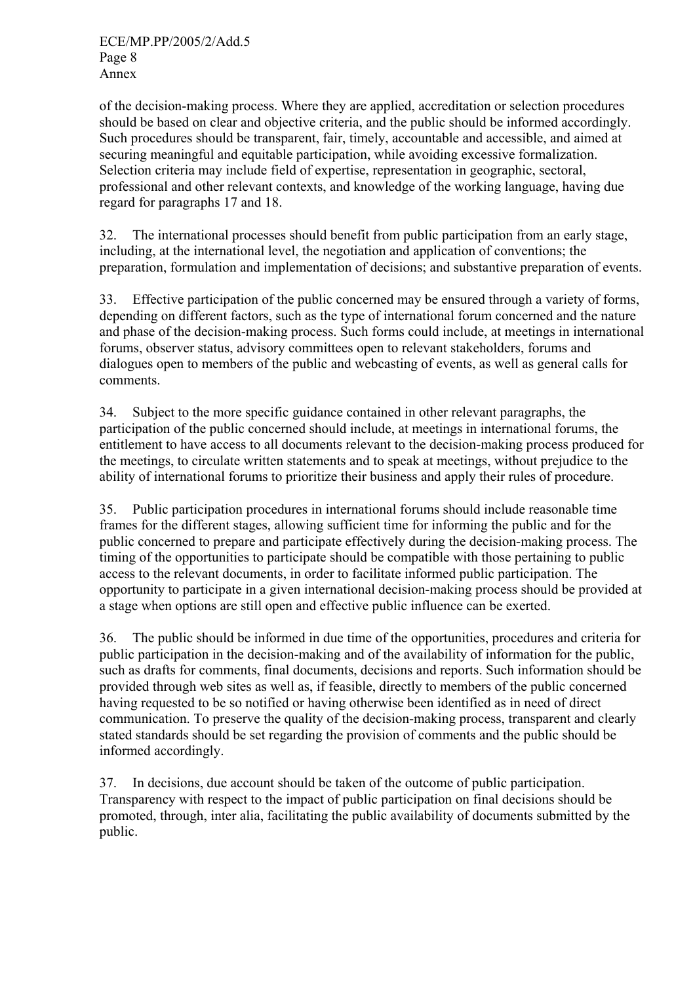of the decision-making process. Where they are applied, accreditation or selection procedures should be based on clear and objective criteria, and the public should be informed accordingly. Such procedures should be transparent, fair, timely, accountable and accessible, and aimed at securing meaningful and equitable participation, while avoiding excessive formalization. Selection criteria may include field of expertise, representation in geographic, sectoral, professional and other relevant contexts, and knowledge of the working language, having due regard for paragraphs 17 and 18.

32. The international processes should benefit from public participation from an early stage, including, at the international level, the negotiation and application of conventions; the preparation, formulation and implementation of decisions; and substantive preparation of events.

33. Effective participation of the public concerned may be ensured through a variety of forms, depending on different factors, such as the type of international forum concerned and the nature and phase of the decision-making process. Such forms could include, at meetings in international forums, observer status, advisory committees open to relevant stakeholders, forums and dialogues open to members of the public and webcasting of events, as well as general calls for comments.

34. Subject to the more specific guidance contained in other relevant paragraphs, the participation of the public concerned should include, at meetings in international forums, the entitlement to have access to all documents relevant to the decision-making process produced for the meetings, to circulate written statements and to speak at meetings, without prejudice to the ability of international forums to prioritize their business and apply their rules of procedure.

35. Public participation procedures in international forums should include reasonable time frames for the different stages, allowing sufficient time for informing the public and for the public concerned to prepare and participate effectively during the decision-making process. The timing of the opportunities to participate should be compatible with those pertaining to public access to the relevant documents, in order to facilitate informed public participation. The opportunity to participate in a given international decision-making process should be provided at a stage when options are still open and effective public influence can be exerted.

36. The public should be informed in due time of the opportunities, procedures and criteria for public participation in the decision-making and of the availability of information for the public, such as drafts for comments, final documents, decisions and reports. Such information should be provided through web sites as well as, if feasible, directly to members of the public concerned having requested to be so notified or having otherwise been identified as in need of direct communication. To preserve the quality of the decision-making process, transparent and clearly stated standards should be set regarding the provision of comments and the public should be informed accordingly.

37. In decisions, due account should be taken of the outcome of public participation. Transparency with respect to the impact of public participation on final decisions should be promoted, through, inter alia, facilitating the public availability of documents submitted by the public.